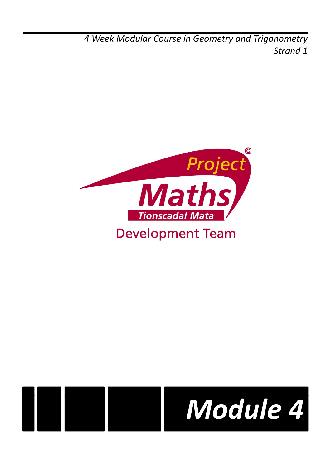*4 Week Modular Course in Geometry and Trigonometry Strand 1*





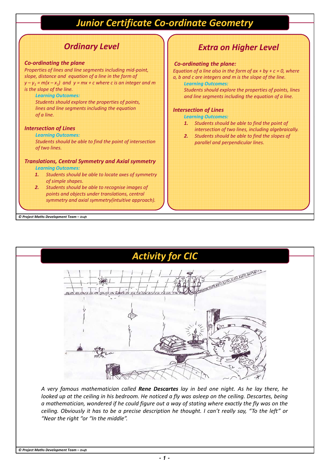# *Junior Certificate Co-ordinate Geometry*

# *Ordinary Level*

#### *Co-ordinating the plane*

*Properties of lines and line segments including mid-point, slope, distance and equation of a line in the form of*   $y - y_1 = m(x - x_1)$  and  $y = mx + c$  where c is an integer and m *is the slope of the line.*

*Learning Outcomes:*

*Students should explore the properties of points, lines and line segments including the equation of a line.*

### *Intersection of Lines*

*Learning Outcomes:*

*Students should be able to find the point of intersection of two lines.*

#### *Translations, Central Symmetry and Axial symmetry Learning Outcomes:*

- *1. Students should be able to locate axes of symmetry of simple shapes.*
- *2. Students should be able to recognise images of points and objects under translations, central symmetry and axial symmetry(intuitive approach).*

#### *© Project Maths Development Team – Draft*

## *Extra on Higher Level*

### *Co-ordinating the plane:*

*Equation of a line also in the form of*  $ax + by + c = 0$ *, where a, b and c are integers and m is the slope of the line.*

*Learning Outcomes: Students should explore the properties of points, lines and line segments including the equation of a line.*

### *Intersection of Lines*

*Learning Outcomes:*

- *1. Students should be able to find the point of intersection of two lines, including algebraically.*
- *2. Students should be able to find the slopes of parallel and perpendicular lines.*

THE TAXABLE VALUE *A very famous mathematician called Rene Descartes lay in bed one night. As he lay there, he looked up at the ceiling in his bedroom. He noticed a fly was asleep on the ceiling. Descartes, being*

*Activity for CIC*

*a mathematician, wondered if he could figure out a way of stating where exactly the fly was on the ceiling. Obviously it has to be a precise description he thought. I can't really say, "To the left" or "Near the right "or "In the middle".*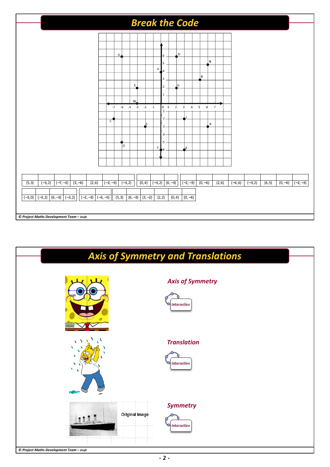

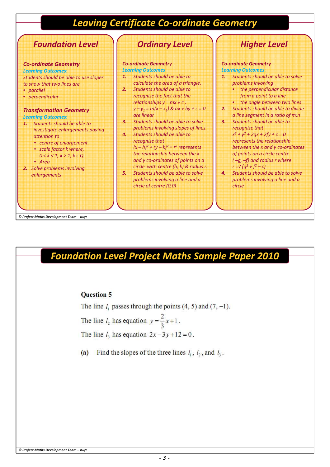# *Leaving Certificate Co-ordinate Geometry*



*Foundation Level Project Maths Sample Paper 2010*

### **Ouestion 5**

The line  $l_1$  passes through the points  $(4, 5)$  and  $(7, -1)$ . The line  $l_2$  has equation  $y = \frac{2}{3}x + 1$ . The line  $l_3$  has equation  $2x-3y+12=0$ .

Find the slopes of the three lines  $l_1$ ,  $l_2$ , and  $l_3$ .  $(a)$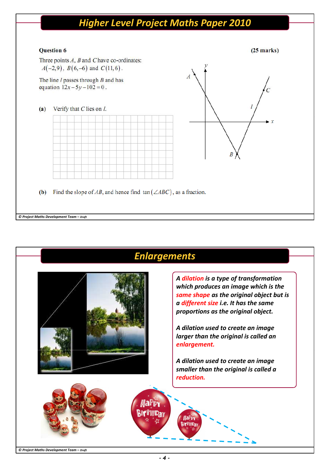# *Higher Level Project Maths Paper 2010*

## **Question 6**

### $(25$  marks)

Three points  $A$ ,  $B$  and  $C$  have co-ordinates:  $A(-2,9)$ ,  $B(6,-6)$  and  $C(11,6)$ .

The line  $l$  passes through  $B$  and has equation  $12x - 5y - 102 = 0$ .







(b) Find the slope of AB, and hence find  $tan(\angle ABC)$ , as a fraction.

#### *© Project Maths Development Team – Draft*